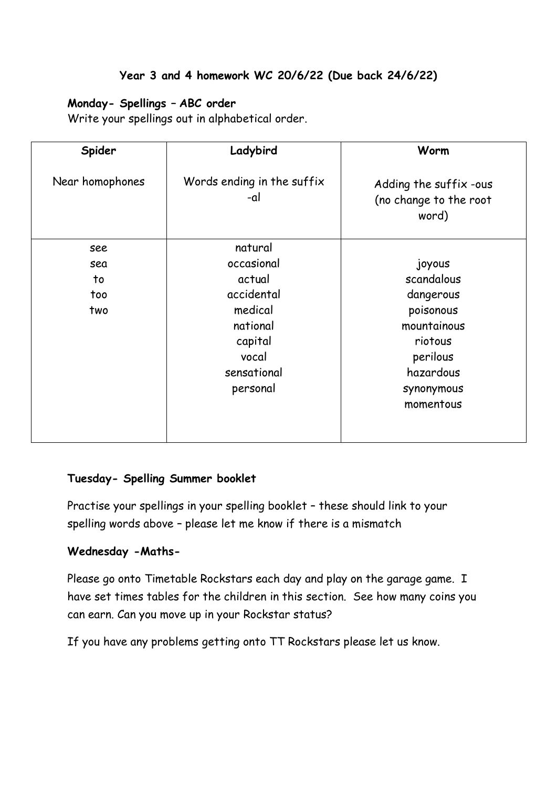## **Year 3 and 4 homework WC 20/6/22 (Due back 24/6/22)**

## **Monday- Spellings – ABC order**

Write your spellings out in alphabetical order.

| Spider          | Ladybird                          | Worm                                                      |
|-----------------|-----------------------------------|-----------------------------------------------------------|
| Near homophones | Words ending in the suffix<br>-al | Adding the suffix -ous<br>(no change to the root<br>word) |
| see             | natural                           |                                                           |
| sea             | occasional                        | joyous                                                    |
| to              | actual                            | scandalous                                                |
| too             | accidental                        | dangerous                                                 |
| two             | medical                           | poisonous                                                 |
|                 | national                          | mountainous                                               |
|                 | capital                           | riotous                                                   |
|                 | vocal                             | perilous                                                  |
|                 | sensational                       | hazardous                                                 |
|                 | personal                          | synonymous                                                |
|                 |                                   | momentous                                                 |
|                 |                                   |                                                           |

## **Tuesday- Spelling Summer booklet**

Practise your spellings in your spelling booklet – these should link to your spelling words above – please let me know if there is a mismatch

## **Wednesday -Maths-**

Please go onto Timetable Rockstars each day and play on the garage game. I have set times tables for the children in this section. See how many coins you can earn. Can you move up in your Rockstar status?

If you have any problems getting onto TT Rockstars please let us know.